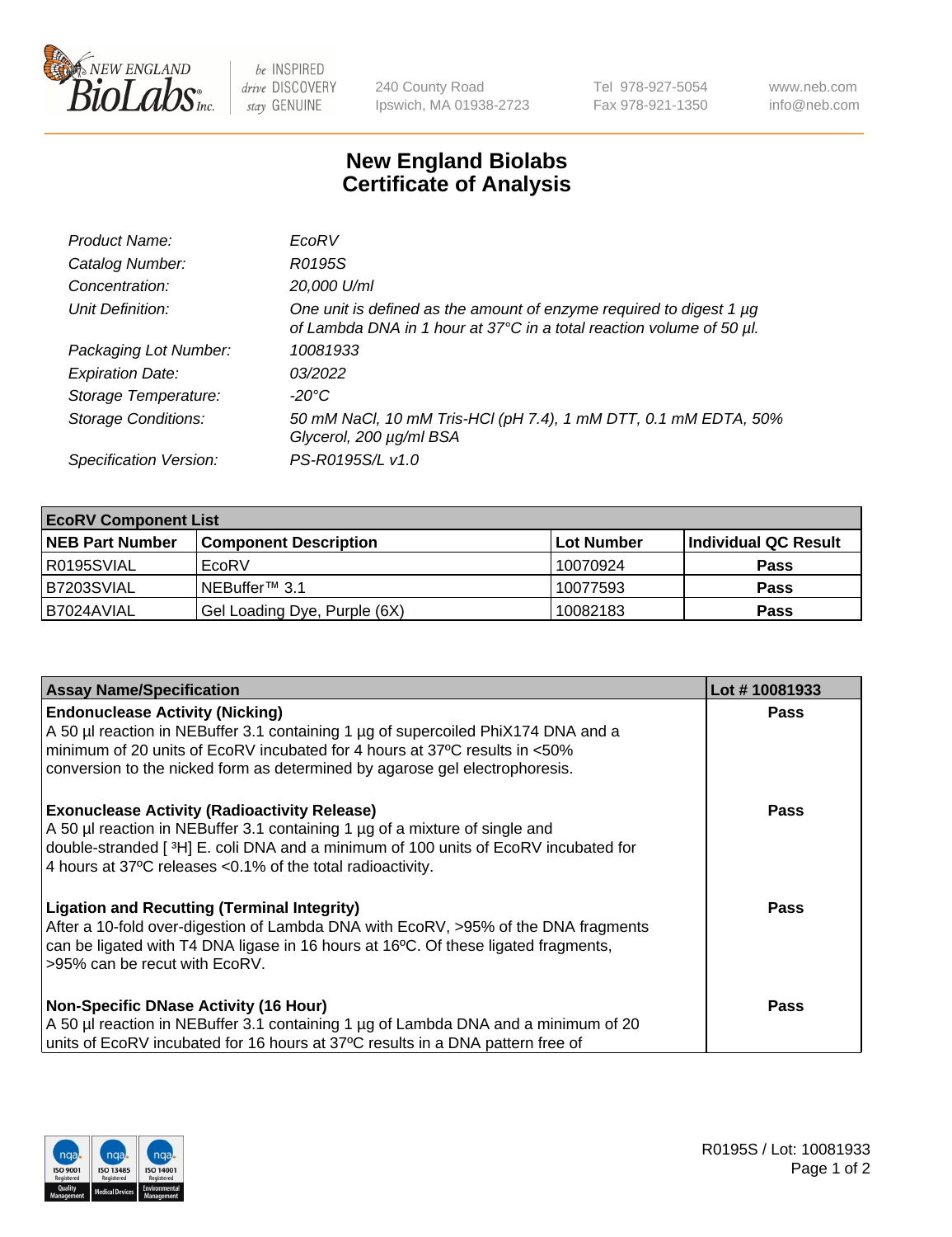

 $be$  INSPIRED drive DISCOVERY stay GENUINE

240 County Road Ipswich, MA 01938-2723 Tel 978-927-5054 Fax 978-921-1350 www.neb.com info@neb.com

## **New England Biolabs Certificate of Analysis**

| Product Name:              | EcoRV                                                                                                                                       |
|----------------------------|---------------------------------------------------------------------------------------------------------------------------------------------|
| Catalog Number:            | R0195S                                                                                                                                      |
| Concentration:             | 20,000 U/ml                                                                                                                                 |
| Unit Definition:           | One unit is defined as the amount of enzyme required to digest 1 µg<br>of Lambda DNA in 1 hour at 37°C in a total reaction volume of 50 µl. |
| Packaging Lot Number:      | 10081933                                                                                                                                    |
| <b>Expiration Date:</b>    | 03/2022                                                                                                                                     |
| Storage Temperature:       | -20°C                                                                                                                                       |
| <b>Storage Conditions:</b> | 50 mM NaCl, 10 mM Tris-HCl (pH 7.4), 1 mM DTT, 0.1 mM EDTA, 50%<br>Glycerol, 200 µg/ml BSA                                                  |
| Specification Version:     | PS-R0195S/L v1.0                                                                                                                            |

| <b>EcoRV Component List</b> |                              |            |                      |  |  |
|-----------------------------|------------------------------|------------|----------------------|--|--|
| <b>NEB Part Number</b>      | <b>Component Description</b> | Lot Number | Individual QC Result |  |  |
| R0195SVIAL                  | EcoRV                        | 10070924   | <b>Pass</b>          |  |  |
| B7203SVIAL                  | INEBuffer™ 3.1               | 10077593   | <b>Pass</b>          |  |  |
| B7024AVIAL                  | Gel Loading Dye, Purple (6X) | 10082183   | <b>Pass</b>          |  |  |

| <b>Assay Name/Specification</b>                                                                                                                                                                                                                                                          | Lot #10081933 |
|------------------------------------------------------------------------------------------------------------------------------------------------------------------------------------------------------------------------------------------------------------------------------------------|---------------|
| <b>Endonuclease Activity (Nicking)</b><br>A 50 µl reaction in NEBuffer 3.1 containing 1 µg of supercoiled PhiX174 DNA and a<br>minimum of 20 units of EcoRV incubated for 4 hours at 37°C results in <50%<br>conversion to the nicked form as determined by agarose gel electrophoresis. | <b>Pass</b>   |
| <b>Exonuclease Activity (Radioactivity Release)</b><br>A 50 µl reaction in NEBuffer 3.1 containing 1 µg of a mixture of single and<br>double-stranded [3H] E. coli DNA and a minimum of 100 units of EcoRV incubated for<br>4 hours at 37°C releases < 0.1% of the total radioactivity.  | Pass          |
| <b>Ligation and Recutting (Terminal Integrity)</b><br>After a 10-fold over-digestion of Lambda DNA with EcoRV, >95% of the DNA fragments<br>can be ligated with T4 DNA ligase in 16 hours at 16 <sup>o</sup> C. Of these ligated fragments,<br>l >95% can be recut with EcoRV.           | Pass          |
| <b>Non-Specific DNase Activity (16 Hour)</b><br>A 50 µl reaction in NEBuffer 3.1 containing 1 µg of Lambda DNA and a minimum of 20<br>units of EcoRV incubated for 16 hours at 37°C results in a DNA pattern free of                                                                     | Pass          |